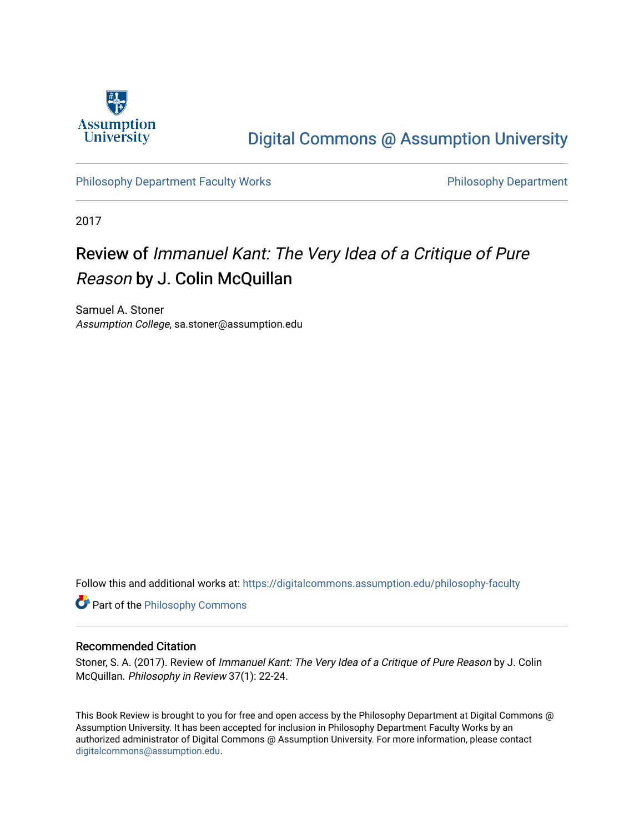

## [Digital Commons @ Assumption University](https://digitalcommons.assumption.edu/)

[Philosophy Department Faculty Works](https://digitalcommons.assumption.edu/philosophy-faculty) **Philosophy Department** 

2017

## Review of Immanuel Kant: The Very Idea of a Critique of Pure Reason by J. Colin McQuillan

Samuel A. Stoner Assumption College, sa.stoner@assumption.edu

Follow this and additional works at: [https://digitalcommons.assumption.edu/philosophy-faculty](https://digitalcommons.assumption.edu/philosophy-faculty?utm_source=digitalcommons.assumption.edu%2Fphilosophy-faculty%2F3&utm_medium=PDF&utm_campaign=PDFCoverPages) 

**Part of the Philosophy Commons** 

## Recommended Citation

Stoner, S. A. (2017). Review of Immanuel Kant: The Very Idea of a Critique of Pure Reason by J. Colin McQuillan. Philosophy in Review 37(1): 22-24.

This Book Review is brought to you for free and open access by the Philosophy Department at Digital Commons @ Assumption University. It has been accepted for inclusion in Philosophy Department Faculty Works by an authorized administrator of Digital Commons @ Assumption University. For more information, please contact [digitalcommons@assumption.edu](mailto:digitalcommons@assumption.edu).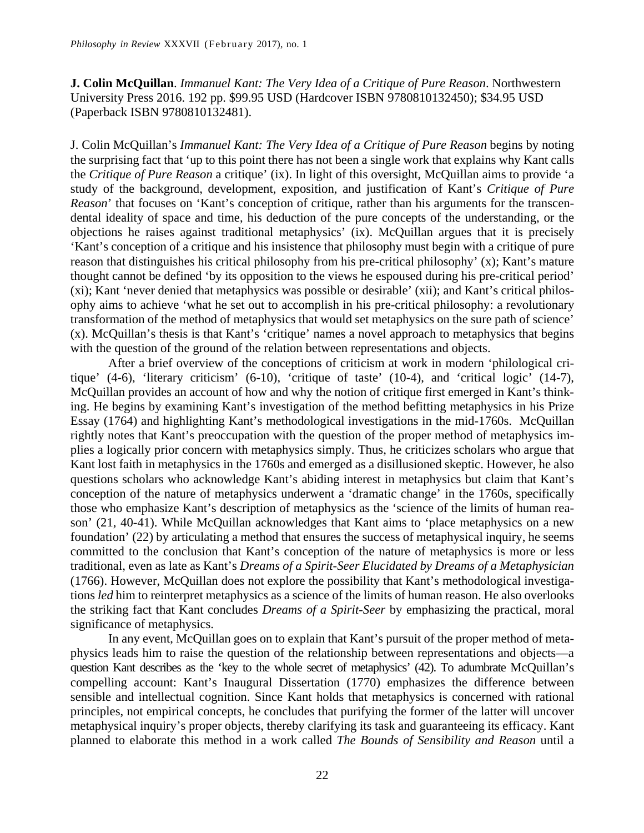**J. Colin McQuillan**. *Immanuel Kant: The Very Idea of a Critique of Pure Reason*. Northwestern University Press 2016. 192 pp. \$99.95 USD (Hardcover ISBN 9780810132450); \$34.95 USD (Paperback ISBN 9780810132481).

J. Colin McQuillan's *Immanuel Kant: The Very Idea of a Critique of Pure Reason* begins by noting the surprising fact that 'up to this point there has not been a single work that explains why Kant calls the *Critique of Pure Reason* a critique' (ix). In light of this oversight, McQuillan aims to provide 'a study of the background, development, exposition, and justification of Kant's *Critique of Pure Reason*' that focuses on 'Kant's conception of critique, rather than his arguments for the transcendental ideality of space and time, his deduction of the pure concepts of the understanding, or the objections he raises against traditional metaphysics' (ix). McQuillan argues that it is precisely 'Kant's conception of a critique and his insistence that philosophy must begin with a critique of pure reason that distinguishes his critical philosophy from his pre-critical philosophy' (x); Kant's mature thought cannot be defined 'by its opposition to the views he espoused during his pre-critical period' (xi); Kant 'never denied that metaphysics was possible or desirable' (xii); and Kant's critical philosophy aims to achieve 'what he set out to accomplish in his pre-critical philosophy: a revolutionary transformation of the method of metaphysics that would set metaphysics on the sure path of science' (x). McQuillan's thesis is that Kant's 'critique' names a novel approach to metaphysics that begins with the question of the ground of the relation between representations and objects.

After a brief overview of the conceptions of criticism at work in modern 'philological critique' (4-6), 'literary criticism' (6-10), 'critique of taste' (10-4), and 'critical logic' (14-7), McQuillan provides an account of how and why the notion of critique first emerged in Kant's thinking. He begins by examining Kant's investigation of the method befitting metaphysics in his Prize Essay (1764) and highlighting Kant's methodological investigations in the mid-1760s. McQuillan rightly notes that Kant's preoccupation with the question of the proper method of metaphysics implies a logically prior concern with metaphysics simply. Thus, he criticizes scholars who argue that Kant lost faith in metaphysics in the 1760s and emerged as a disillusioned skeptic. However, he also questions scholars who acknowledge Kant's abiding interest in metaphysics but claim that Kant's conception of the nature of metaphysics underwent a 'dramatic change' in the 1760s, specifically those who emphasize Kant's description of metaphysics as the 'science of the limits of human reason' (21, 40-41). While McQuillan acknowledges that Kant aims to 'place metaphysics on a new foundation' (22) by articulating a method that ensures the success of metaphysical inquiry, he seems committed to the conclusion that Kant's conception of the nature of metaphysics is more or less traditional, even as late as Kant's *Dreams of a Spirit-Seer Elucidated by Dreams of a Metaphysician*  (1766). However, McQuillan does not explore the possibility that Kant's methodological investigations *led* him to reinterpret metaphysics as a science of the limits of human reason. He also overlooks the striking fact that Kant concludes *Dreams of a Spirit-Seer* by emphasizing the practical, moral significance of metaphysics.

In any event, McQuillan goes on to explain that Kant's pursuit of the proper method of metaphysics leads him to raise the question of the relationship between representations and objects—a question Kant describes as the 'key to the whole secret of metaphysics' (42). To adumbrate McQuillan's compelling account: Kant's Inaugural Dissertation (1770) emphasizes the difference between sensible and intellectual cognition. Since Kant holds that metaphysics is concerned with rational principles, not empirical concepts, he concludes that purifying the former of the latter will uncover metaphysical inquiry's proper objects, thereby clarifying its task and guaranteeing its efficacy. Kant planned to elaborate this method in a work called *The Bounds of Sensibility and Reason* until a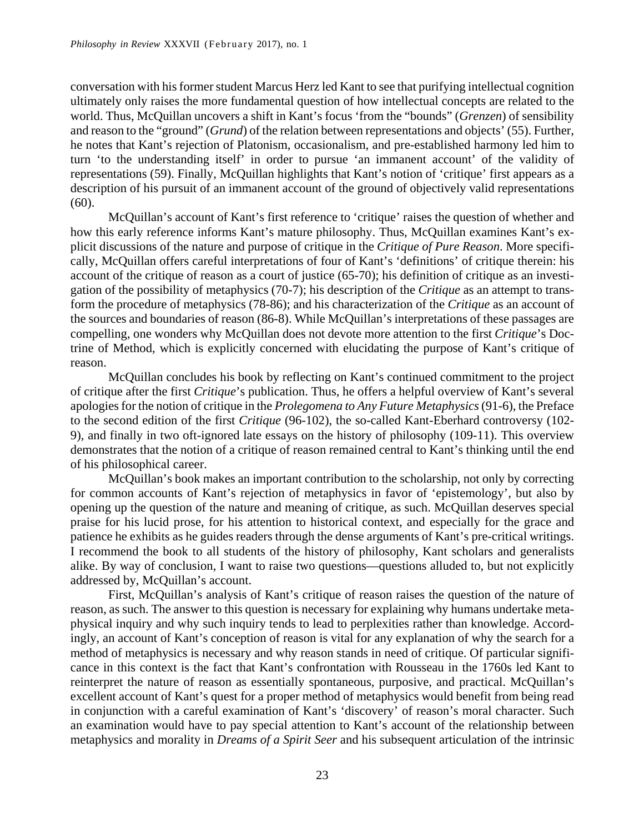conversation with his former student Marcus Herz led Kant to see that purifying intellectual cognition ultimately only raises the more fundamental question of how intellectual concepts are related to the world. Thus, McQuillan uncovers a shift in Kant's focus 'from the "bounds" (*Grenzen*) of sensibility and reason to the "ground" (*Grund*) of the relation between representations and objects' (55). Further, he notes that Kant's rejection of Platonism, occasionalism, and pre-established harmony led him to turn 'to the understanding itself' in order to pursue 'an immanent account' of the validity of representations (59). Finally, McQuillan highlights that Kant's notion of 'critique' first appears as a description of his pursuit of an immanent account of the ground of objectively valid representations (60).

McQuillan's account of Kant's first reference to 'critique' raises the question of whether and how this early reference informs Kant's mature philosophy. Thus, McQuillan examines Kant's explicit discussions of the nature and purpose of critique in the *Critique of Pure Reason*. More specifically, McQuillan offers careful interpretations of four of Kant's 'definitions' of critique therein: his account of the critique of reason as a court of justice (65-70); his definition of critique as an investigation of the possibility of metaphysics (70-7); his description of the *Critique* as an attempt to transform the procedure of metaphysics (78-86); and his characterization of the *Critique* as an account of the sources and boundaries of reason (86-8). While McQuillan's interpretations of these passages are compelling, one wonders why McQuillan does not devote more attention to the first *Critique*'s Doctrine of Method, which is explicitly concerned with elucidating the purpose of Kant's critique of reason.

 McQuillan concludes his book by reflecting on Kant's continued commitment to the project of critique after the first *Critique*'s publication. Thus, he offers a helpful overview of Kant's several apologies for the notion of critique in the *Prolegomena to Any Future Metaphysics* (91-6), the Preface to the second edition of the first *Critique* (96-102), the so-called Kant-Eberhard controversy (102- 9), and finally in two oft-ignored late essays on the history of philosophy (109-11). This overview demonstrates that the notion of a critique of reason remained central to Kant's thinking until the end of his philosophical career.

McQuillan's book makes an important contribution to the scholarship, not only by correcting for common accounts of Kant's rejection of metaphysics in favor of 'epistemology', but also by opening up the question of the nature and meaning of critique, as such. McQuillan deserves special praise for his lucid prose, for his attention to historical context, and especially for the grace and patience he exhibits as he guides readers through the dense arguments of Kant's pre-critical writings. I recommend the book to all students of the history of philosophy, Kant scholars and generalists alike. By way of conclusion, I want to raise two questions—questions alluded to, but not explicitly addressed by, McQuillan's account.

First, McQuillan's analysis of Kant's critique of reason raises the question of the nature of reason, as such. The answer to this question is necessary for explaining why humans undertake metaphysical inquiry and why such inquiry tends to lead to perplexities rather than knowledge. Accordingly, an account of Kant's conception of reason is vital for any explanation of why the search for a method of metaphysics is necessary and why reason stands in need of critique. Of particular significance in this context is the fact that Kant's confrontation with Rousseau in the 1760s led Kant to reinterpret the nature of reason as essentially spontaneous, purposive, and practical. McQuillan's excellent account of Kant's quest for a proper method of metaphysics would benefit from being read in conjunction with a careful examination of Kant's 'discovery' of reason's moral character. Such an examination would have to pay special attention to Kant's account of the relationship between metaphysics and morality in *Dreams of a Spirit Seer* and his subsequent articulation of the intrinsic